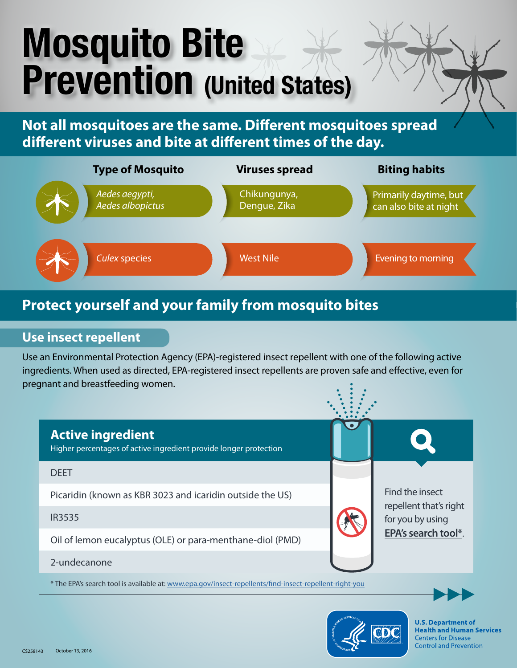# Mosquito Bite Prevention (United States)

**Not all mosquitoes are the same. Different mosquitoes spread different viruses and bite at different times of the day.**



# **Protect yourself and your family from mosquito bites**

## **Use insect repellent**

Use an Environmental Protection Agency (EPA)-registered insect repellent with one of the following active ingredients. When used as directed, EPA-registered insect repellents are proven safe and effective, even for pregnant and breastfeeding women.



\* The EPA's search tool is available at: [www.epa.gov/insect-repellents/find-insect-repellent-right-you](http://www.epa.gov/insect-repellents/find-insect-repellent-right-you)





**U.S. Department of Health and Human Services Centers for Disease Control and Prevention**